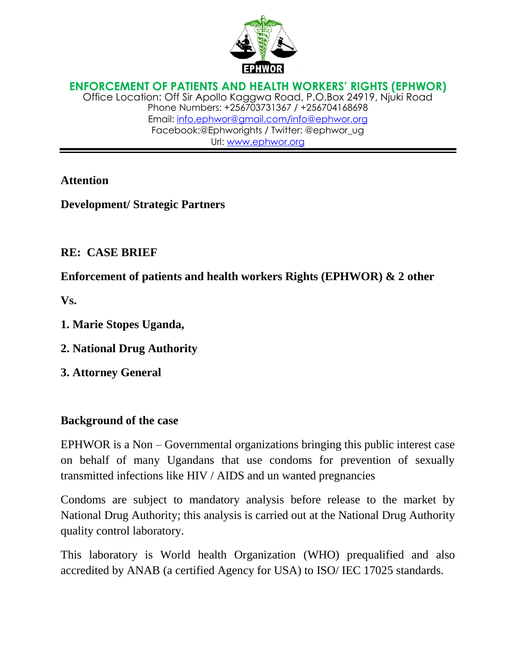

**ENFORCEMENT OF PATIENTS AND HEALTH WORKERS' RIGHTS (EPHWOR)** Office Location: Off Sir Apollo Kaggwa Road, P.O.Box 24919, Njuki Road Phone Numbers: +256703731367 / +256704168698 Email: [info.ephwor@gmail.com/](mailto:info.ephwor@gmail.com)info@ephwor.org Facebook:@Ephworights / Twitter: @ephwor\_ug Url: [www.ephwor.org](http://www.ephwor.org/)

### **Attention**

**Development/ Strategic Partners**

## **RE: CASE BRIEF**

**Enforcement of patients and health workers Rights (EPHWOR) & 2 other**

**Vs.**

- **1. Marie Stopes Uganda,**
- **2. National Drug Authority**
- **3. Attorney General**

## **Background of the case**

EPHWOR is a Non – Governmental organizations bringing this public interest case on behalf of many Ugandans that use condoms for prevention of sexually transmitted infections like HIV / AIDS and un wanted pregnancies

Condoms are subject to mandatory analysis before release to the market by National Drug Authority; this analysis is carried out at the National Drug Authority quality control laboratory.

This laboratory is World health Organization (WHO) prequalified and also accredited by ANAB (a certified Agency for USA) to ISO/ IEC 17025 standards.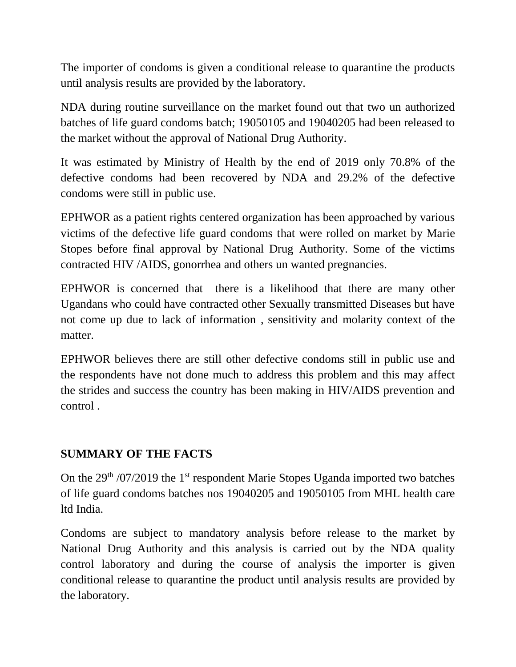The importer of condoms is given a conditional release to quarantine the products until analysis results are provided by the laboratory.

NDA during routine surveillance on the market found out that two un authorized batches of life guard condoms batch; 19050105 and 19040205 had been released to the market without the approval of National Drug Authority.

It was estimated by Ministry of Health by the end of 2019 only 70.8% of the defective condoms had been recovered by NDA and 29.2% of the defective condoms were still in public use.

EPHWOR as a patient rights centered organization has been approached by various victims of the defective life guard condoms that were rolled on market by Marie Stopes before final approval by National Drug Authority. Some of the victims contracted HIV /AIDS, gonorrhea and others un wanted pregnancies.

EPHWOR is concerned that there is a likelihood that there are many other Ugandans who could have contracted other Sexually transmitted Diseases but have not come up due to lack of information , sensitivity and molarity context of the matter.

EPHWOR believes there are still other defective condoms still in public use and the respondents have not done much to address this problem and this may affect the strides and success the country has been making in HIV/AIDS prevention and control .

# **SUMMARY OF THE FACTS**

On the  $29<sup>th</sup> / 07/2019$  the 1<sup>st</sup> respondent Marie Stopes Uganda imported two batches of life guard condoms batches nos 19040205 and 19050105 from MHL health care ltd India.

Condoms are subject to mandatory analysis before release to the market by National Drug Authority and this analysis is carried out by the NDA quality control laboratory and during the course of analysis the importer is given conditional release to quarantine the product until analysis results are provided by the laboratory.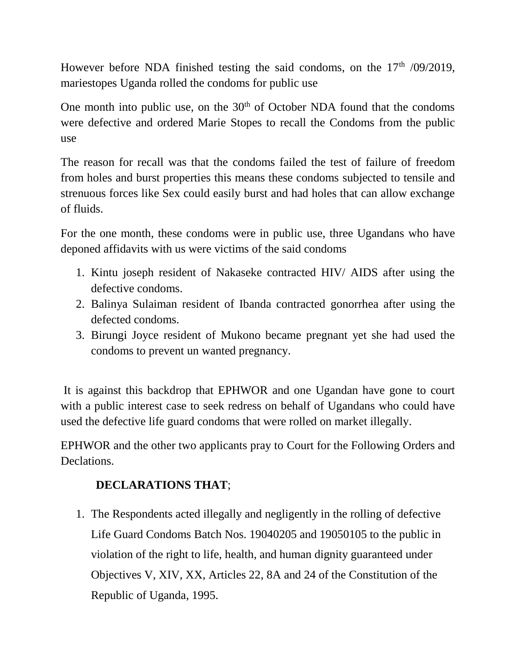However before NDA finished testing the said condoms, on the  $17<sup>th</sup>$  /09/2019, mariestopes Uganda rolled the condoms for public use

One month into public use, on the  $30<sup>th</sup>$  of October NDA found that the condoms were defective and ordered Marie Stopes to recall the Condoms from the public use

The reason for recall was that the condoms failed the test of failure of freedom from holes and burst properties this means these condoms subjected to tensile and strenuous forces like Sex could easily burst and had holes that can allow exchange of fluids.

For the one month, these condoms were in public use, three Ugandans who have deponed affidavits with us were victims of the said condoms

- 1. Kintu joseph resident of Nakaseke contracted HIV/ AIDS after using the defective condoms.
- 2. Balinya Sulaiman resident of Ibanda contracted gonorrhea after using the defected condoms.
- 3. Birungi Joyce resident of Mukono became pregnant yet she had used the condoms to prevent un wanted pregnancy.

It is against this backdrop that EPHWOR and one Ugandan have gone to court with a public interest case to seek redress on behalf of Ugandans who could have used the defective life guard condoms that were rolled on market illegally.

EPHWOR and the other two applicants pray to Court for the Following Orders and Declations.

# **DECLARATIONS THAT**;

1. The Respondents acted illegally and negligently in the rolling of defective Life Guard Condoms Batch Nos. 19040205 and 19050105 to the public in violation of the right to life, health, and human dignity guaranteed under Objectives V, XIV, XX, Articles 22, 8A and 24 of the Constitution of the Republic of Uganda, 1995.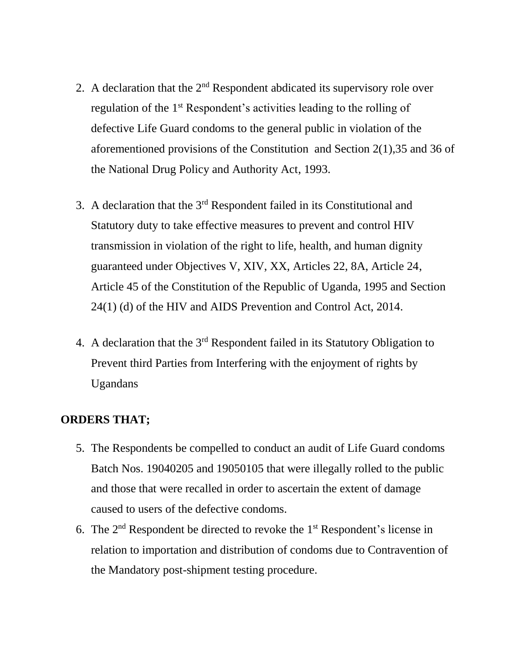- 2. A declaration that the  $2<sup>nd</sup>$  Respondent abdicated its supervisory role over regulation of the 1<sup>st</sup> Respondent's activities leading to the rolling of defective Life Guard condoms to the general public in violation of the aforementioned provisions of the Constitution and Section 2(1),35 and 36 of the National Drug Policy and Authority Act, 1993.
- 3. A declaration that the  $3<sup>rd</sup>$  Respondent failed in its Constitutional and Statutory duty to take effective measures to prevent and control HIV transmission in violation of the right to life, health, and human dignity guaranteed under Objectives V, XIV, XX, Articles 22, 8A, Article 24, Article 45 of the Constitution of the Republic of Uganda, 1995 and Section 24(1) (d) of the HIV and AIDS Prevention and Control Act, 2014.
- 4. A declaration that the 3rd Respondent failed in its Statutory Obligation to Prevent third Parties from Interfering with the enjoyment of rights by Ugandans

#### **ORDERS THAT;**

- 5. The Respondents be compelled to conduct an audit of Life Guard condoms Batch Nos. 19040205 and 19050105 that were illegally rolled to the public and those that were recalled in order to ascertain the extent of damage caused to users of the defective condoms.
- 6. The  $2<sup>nd</sup>$  Respondent be directed to revoke the  $1<sup>st</sup>$  Respondent's license in relation to importation and distribution of condoms due to Contravention of the Mandatory post-shipment testing procedure.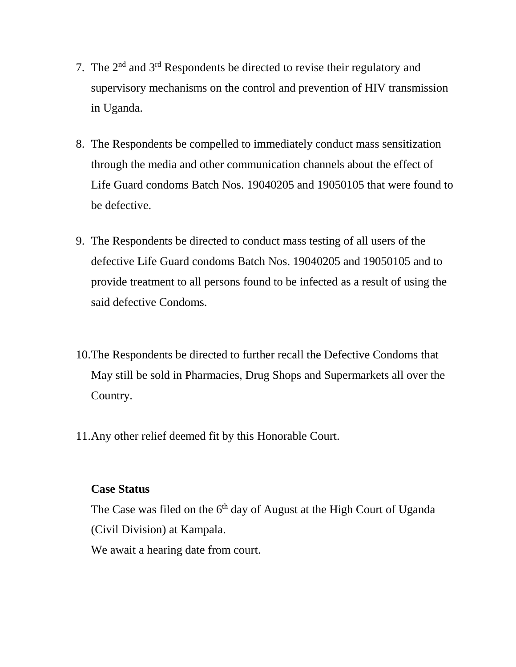- 7. The  $2<sup>nd</sup>$  and  $3<sup>rd</sup>$  Respondents be directed to revise their regulatory and supervisory mechanisms on the control and prevention of HIV transmission in Uganda.
- 8. The Respondents be compelled to immediately conduct mass sensitization through the media and other communication channels about the effect of Life Guard condoms Batch Nos. 19040205 and 19050105 that were found to be defective.
- 9. The Respondents be directed to conduct mass testing of all users of the defective Life Guard condoms Batch Nos. 19040205 and 19050105 and to provide treatment to all persons found to be infected as a result of using the said defective Condoms.
- 10.The Respondents be directed to further recall the Defective Condoms that May still be sold in Pharmacies, Drug Shops and Supermarkets all over the Country.
- 11.Any other relief deemed fit by this Honorable Court.

#### **Case Status**

The Case was filed on the  $6<sup>th</sup>$  day of August at the High Court of Uganda (Civil Division) at Kampala. We await a hearing date from court.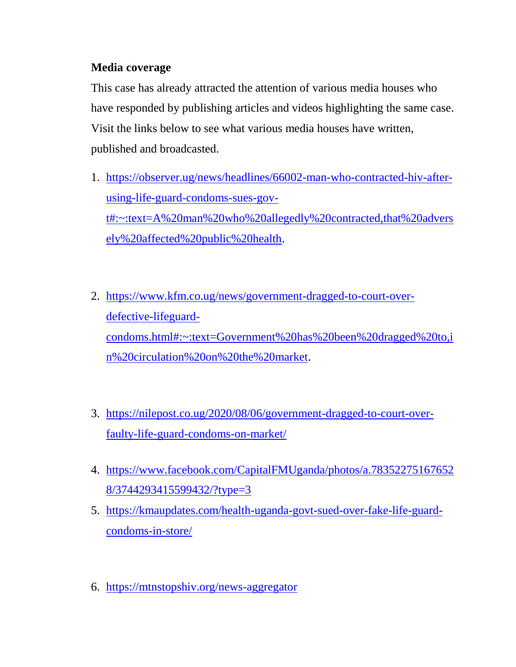## **Media coverage**

This case has already attracted the attention of various media houses who have responded by publishing articles and videos highlighting the same case. Visit the links below to see what various media houses have written, published and broadcasted.

- 1. [https://observer.ug/news/headlines/66002-man-who-contracted-hiv-after](https://observer.ug/news/headlines/66002-man-who-contracted-hiv-after-using-life-guard-condoms-sues-gov-t#:~:text=A%20man%20who%20allegedly%20contracted,that%20adversely%20affected%20public%20health)[using-life-guard-condoms-sues-gov](https://observer.ug/news/headlines/66002-man-who-contracted-hiv-after-using-life-guard-condoms-sues-gov-t#:~:text=A%20man%20who%20allegedly%20contracted,that%20adversely%20affected%20public%20health)[t#:~:text=A%20man%20who%20allegedly%20contracted,that%20advers](https://observer.ug/news/headlines/66002-man-who-contracted-hiv-after-using-life-guard-condoms-sues-gov-t#:~:text=A%20man%20who%20allegedly%20contracted,that%20adversely%20affected%20public%20health) [ely%20affected%20public%20health.](https://observer.ug/news/headlines/66002-man-who-contracted-hiv-after-using-life-guard-condoms-sues-gov-t#:~:text=A%20man%20who%20allegedly%20contracted,that%20adversely%20affected%20public%20health)
- 2. [https://www.kfm.co.ug/news/government-dragged-to-court-over](https://www.kfm.co.ug/news/government-dragged-to-court-over-defective-lifeguard-condoms.html#:~:text=Government%20has%20been%20dragged%20to,in%20circulation%20on%20the%20market)[defective-lifeguard](https://www.kfm.co.ug/news/government-dragged-to-court-over-defective-lifeguard-condoms.html#:~:text=Government%20has%20been%20dragged%20to,in%20circulation%20on%20the%20market)[condoms.html#:~:text=Government%20has%20been%20dragged%20to,i](https://www.kfm.co.ug/news/government-dragged-to-court-over-defective-lifeguard-condoms.html#:~:text=Government%20has%20been%20dragged%20to,in%20circulation%20on%20the%20market) [n%20circulation%20on%20the%20market.](https://www.kfm.co.ug/news/government-dragged-to-court-over-defective-lifeguard-condoms.html#:~:text=Government%20has%20been%20dragged%20to,in%20circulation%20on%20the%20market)
- 3. [https://nilepost.co.ug/2020/08/06/government-dragged-to-court-over](https://nilepost.co.ug/2020/08/06/government-dragged-to-court-over-faulty-life-guard-condoms-on-market/)[faulty-life-guard-condoms-on-market/](https://nilepost.co.ug/2020/08/06/government-dragged-to-court-over-faulty-life-guard-condoms-on-market/)
- 4. [https://www.facebook.com/CapitalFMUganda/photos/a.78352275167652](https://www.facebook.com/CapitalFMUganda/photos/a.783522751676528/3744293415599432/?type=3) [8/3744293415599432/?type=3](https://www.facebook.com/CapitalFMUganda/photos/a.783522751676528/3744293415599432/?type=3)
- 5. [https://kmaupdates.com/health-uganda-govt-sued-over-fake-life-guard](https://kmaupdates.com/health-uganda-govt-sued-over-fake-life-guard-condoms-in-store/)[condoms-in-store/](https://kmaupdates.com/health-uganda-govt-sued-over-fake-life-guard-condoms-in-store/)
- 6. <https://mtnstopshiv.org/news-aggregator>